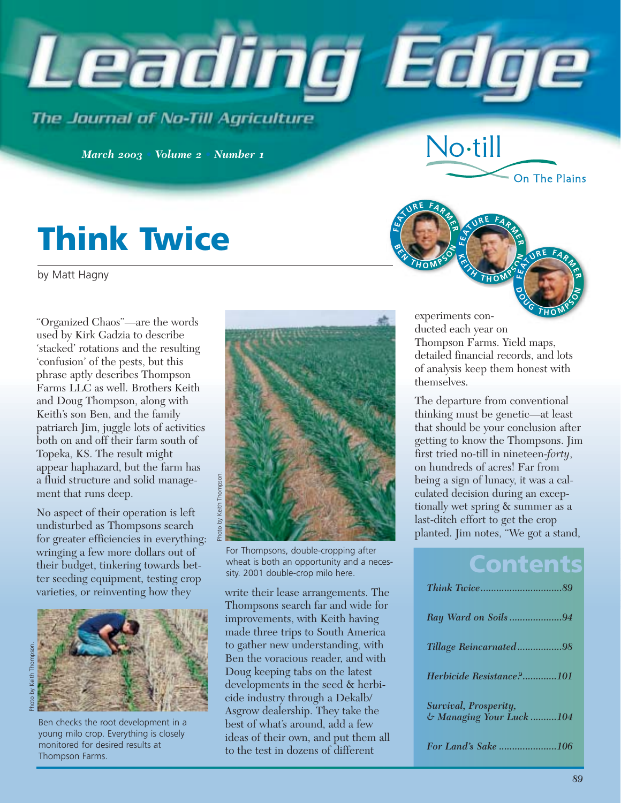

**FE**

**<sup>A</sup><sup>T</sup> <sup>U</sup>R<sup>E</sup> <sup>F</sup>A<sup>R</sup> <sup>M</sup><sup>E</sup>**

**B E**  $\frac{d}{dt}$  **E**  $\frac{d}{dt}$ 

**R**

No-till

The Journal of No-Till Agriculture

*March 2003 • Volume 2 • Number 1*

# **Think Twice**

by Matt Hagny

"Organized Chaos"—are the words used by Kirk Gadzia to describe 'stacked' rotations and the resulting 'confusion' of the pests, but this phrase aptly describes Thompson Farms LLC as well. Brothers Keith and Doug Thompson, along with Keith's son Ben, and the family patriarch Jim, juggle lots of activities both on and off their farm south of Topeka, KS. The result might appear haphazard, but the farm has a fluid structure and solid management that runs deep.

No aspect of their operation is left undisturbed as Thompsons search for greater efficiencies in everything: wringing a few more dollars out of their budget, tinkering towards better seeding equipment, testing crop varieties, or reinventing how they write their lease arrangements. The



Ben checks the root development in a young milo crop. Everything is closely monitored for desired results at Thompson Farms.



For Thompsons, double-cropping after wheat is both an opportunity and a necessity. 2001 double-crop milo here.

Thompsons search far and wide for improvements, with Keith having made three trips to South America to gather new understanding, with Ben the voracious reader, and with Doug keeping tabs on the latest developments in the seed & herbicide industry through a Dekalb/ Asgrow dealership. They take the best of what's around, add a few ideas of their own, and put them all to the test in dozens of different

experiments conducted each year on Thompson Farms. Yield maps, detailed financial records, and lots of analysis keep them honest with themselves. **<sup>D</sup> <sup>O</sup> <sup>U</sup> <sup>G</sup> <sup>T</sup> <sup>H</sup> <sup>O</sup> <sup>M</sup> <sup>P</sup> <sup>S</sup> <sup>O</sup> <sup>N</sup>**

**<sup>A</sup><sup>T</sup> <sup>U</sup>R<sup>E</sup> <sup>F</sup>A<sup>R</sup> <sup>M</sup><sup>E</sup>**

**<sup>K</sup> <sup>E</sup> <sup>I</sup> <sup>T</sup> <sup>H</sup> <sup>T</sup> <sup>H</sup> <sup>O</sup> <sup>M</sup> <sup>P</sup> <sup>S</sup> <sup>O</sup> <sup>N</sup> <sup>F</sup><sup>E</sup>**

**R**

**<sup>A</sup><sup>T</sup> <sup>U</sup>R<sup>E</sup> <sup>F</sup>A<sup>R</sup> <sup>M</sup><sup>E</sup>**

On The Plains

**R**

The departure from conventional thinking must be genetic—at least that should be your conclusion after getting to know the Thompsons. Jim first tried no-till in nineteen-*forty*, on hundreds of acres! Far from being a sign of lunacy, it was a calculated decision during an exceptionally wet spring & summer as a last-ditch effort to get the crop planted. Jim notes, "We got a stand,

# **Contents**

| Ray Ward on Soils94                               |  |
|---------------------------------------------------|--|
| Tillage Reincarnated98                            |  |
| Herbicide Resistance?101                          |  |
| Survival, Prosperity,<br>& Managing Your Luck 104 |  |
| For Land's Sake 106                               |  |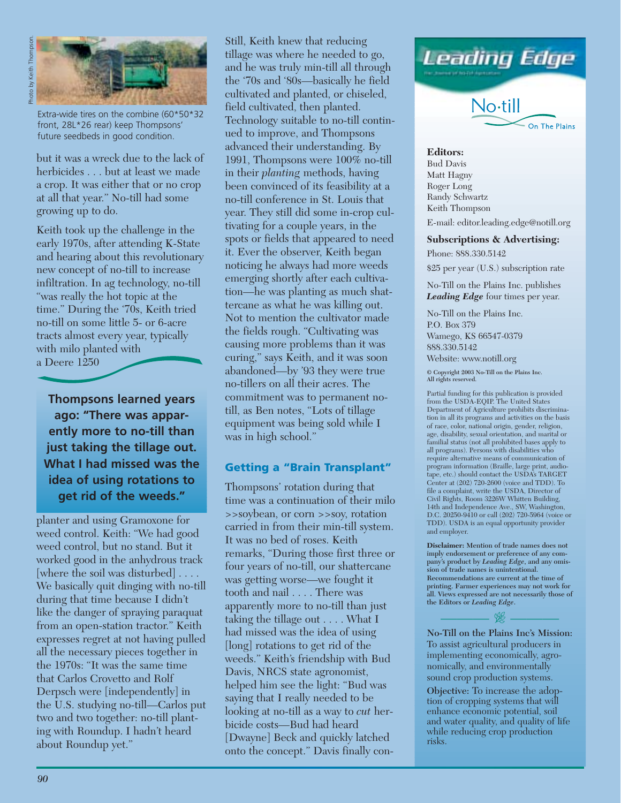

Extra-wide tires on the combine (60\*50\*32 front, 28L\*26 rear) keep Thompsons' future seedbeds in good condition.

but it was a wreck due to the lack of herbicides . . . but at least we made a crop. It was either that or no crop at all that year." No-till had some growing up to do.

Keith took up the challenge in the early 1970s, after attending K-State and hearing about this revolutionary new concept of no-till to increase infiltration. In ag technology, no-till "was really the hot topic at the time." During the '70s, Keith tried no-till on some little 5- or 6-acre tracts almost every year, typically with milo planted with a Deere 1250

**Thompsons learned years ago: "There was apparently more to no-till than just taking the tillage out. What I had missed was the idea of using rotations to get rid of the weeds."**

planter and using Gramoxone for weed control. Keith: "We had good weed control, but no stand. But it worked good in the anhydrous track [where the soil was disturbed] . . . . We basically quit dinging with no-till during that time because I didn't like the danger of spraying paraquat from an open-station tractor." Keith expresses regret at not having pulled all the necessary pieces together in the 1970s: "It was the same time that Carlos Crovetto and Rolf Derpsch were [independently] in the U.S. studying no-till—Carlos put two and two together: no-till planting with Roundup. I hadn't heard about Roundup yet."

Still, Keith knew that reducing tillage was where he needed to go, and he was truly min-till all through the '70s and '80s—basically he field cultivated and planted, or chiseled, field cultivated, then planted. Technology suitable to no-till continued to improve, and Thompsons advanced their understanding. By 1991, Thompsons were 100% no-till in their *planting* methods, having been convinced of its feasibility at a no-till conference in St. Louis that year. They still did some in-crop cultivating for a couple years, in the spots or fields that appeared to need it. Ever the observer, Keith began noticing he always had more weeds emerging shortly after each cultivation—he was planting as much shattercane as what he was killing out. Not to mention the cultivator made the fields rough. "Cultivating was causing more problems than it was curing," says Keith, and it was soon abandoned—by '93 they were true no-tillers on all their acres. The commitment was to permanent notill, as Ben notes, "Lots of tillage equipment was being sold while I was in high school."

#### **Getting a "Brain Transplant"**

Thompsons' rotation during that time was a continuation of their milo >>soybean, or corn >>soy, rotation carried in from their min-till system. It was no bed of roses. Keith remarks, "During those first three or four years of no-till, our shattercane was getting worse—we fought it tooth and nail . . . . There was apparently more to no-till than just taking the tillage out . . . . What I had missed was the idea of using [long] rotations to get rid of the weeds." Keith's friendship with Bud Davis, NRCS state agronomist, helped him see the light: "Bud was saying that I really needed to be looking at no-till as a way to *cut* herbicide costs—Bud had heard [Dwayne] Beck and quickly latched onto the concept." Davis finally con-



**Editors:** Bud Davis Matt Hagny Roger Long Randy Schwartz Keith Thompson

E-mail: editor.leading.edge@notill.org

#### **Subscriptions & Advertising:**

Phone: 888.330.5142

\$25 per year (U.S.) subscription rate

No-Till on the Plains Inc. publishes *Leading Edge* four times per year.

No-Till on the Plains Inc. P.O. Box 379 Wamego, KS 66547-0379 888.330.5142 Website: www.notill.org

**© Copyright 2003 No-Till on the Plains Inc. All rights reserved.** 

Partial funding for this publication is provided from the USDA-EQIP. The United States Department of Agriculture prohibits discrimination in all its programs and activities on the basis of race, color, national origin, gender, religion, age, disability, sexual orientation, and marital or familial status (not all prohibited bases apply to all programs). Persons with disabilities who require alternative means of communication of program information (Braille, large print, audiotape, etc.) should contact the USDA's TARGET Center at (202) 720-2600 (voice and TDD). To file a complaint, write the USDA, Director of Civil Rights, Room 3226W Whitten Building, 14th and Independence Ave., SW, Washington, D.C. 20250-9410 or call (202) 720-5964 (voice or TDD). USDA is an equal opportunity provider and employer.

**Disclaimer: Mention of trade names does not imply endorsement or preference of any company's product by** *Leading Edge***, and any omission of trade names is unintentional. Recommendations are current at the time of printing. Farmer experiences may not work for all. Views expressed are not necessarily those of the Editors or** *Leading Edge***.**

 $\frac{1}{2}$   $\frac{1}{2}$   $\frac{1}{2}$ **No-Till on the Plains Inc's Mission:**  To assist agricultural producers in implementing economically, agronomically, and environmentally sound crop production systems.

**Objective:** To increase the adoption of cropping systems that will enhance economic potential, soil and water quality, and quality of life while reducing crop production risks.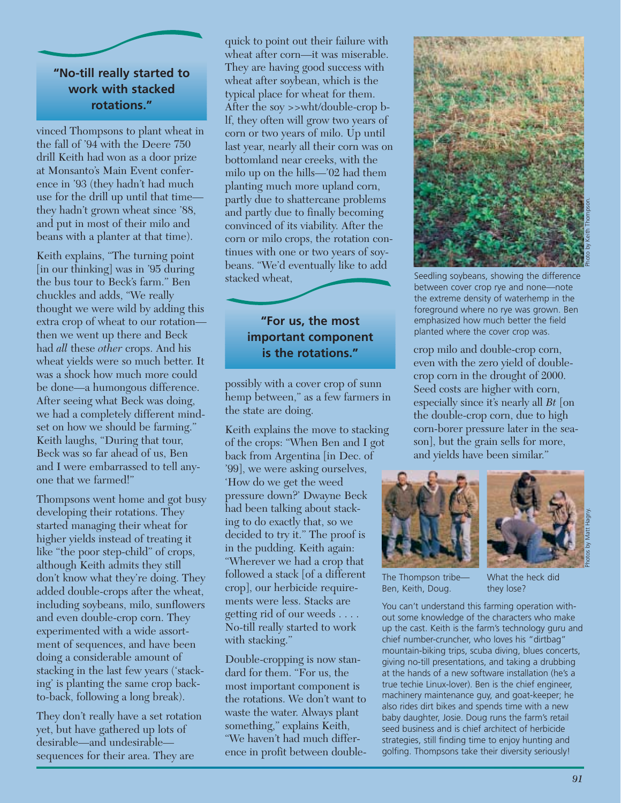# **"No-till really started to work with stacked rotations."**

vinced Thompsons to plant wheat in the fall of '94 with the Deere 750 drill Keith had won as a door prize at Monsanto's Main Event conference in '93 (they hadn't had much use for the drill up until that time they hadn't grown wheat since '88, and put in most of their milo and beans with a planter at that time).

Keith explains, "The turning point [in our thinking] was in '95 during the bus tour to Beck's farm." Ben chuckles and adds, "We really thought we were wild by adding this extra crop of wheat to our rotation then we went up there and Beck had *all* these *other* crops. And his wheat yields were so much better. It was a shock how much more could be done—a humongous difference. After seeing what Beck was doing, we had a completely different mindset on how we should be farming." Keith laughs, "During that tour, Beck was so far ahead of us, Ben and I were embarrassed to tell anyone that we farmed!"

Thompsons went home and got busy developing their rotations. They started managing their wheat for higher yields instead of treating it like "the poor step-child" of crops, although Keith admits they still don't know what they're doing. They added double-crops after the wheat, including soybeans, milo, sunflowers and even double-crop corn. They experimented with a wide assortment of sequences, and have been doing a considerable amount of stacking in the last few years ('stacking' is planting the same crop backto-back, following a long break).

They don't really have a set rotation yet, but have gathered up lots of desirable—and undesirable sequences for their area. They are

quick to point out their failure with wheat after corn—it was miserable. They are having good success with wheat after soybean, which is the typical place for wheat for them. After the soy >>wht/double-crop blf, they often will grow two years of corn or two years of milo. Up until last year, nearly all their corn was on bottomland near creeks, with the milo up on the hills—'02 had them planting much more upland corn, partly due to shattercane problems and partly due to finally becoming convinced of its viability. After the corn or milo crops, the rotation continues with one or two years of soybeans. "We'd eventually like to add stacked wheat,

## **"For us, the most important component is the rotations."**

possibly with a cover crop of sunn hemp between," as a few farmers in the state are doing.

Keith explains the move to stacking of the crops: "When Ben and I got back from Argentina [in Dec. of '99], we were asking ourselves, 'How do we get the weed pressure down?' Dwayne Beck had been talking about stacking to do exactly that, so we decided to try it." The proof is in the pudding. Keith again: "Wherever we had a crop that followed a stack [of a different crop], our herbicide requirements were less. Stacks are getting rid of our weeds . . . . No-till really started to work with stacking."

Double-cropping is now standard for them. "For us, the most important component is the rotations. We don't want to waste the water. Always plant something," explains Keith, "We haven't had much difference in profit between double-



Seedling soybeans, showing the difference between cover crop rye and none—note the extreme density of waterhemp in the foreground where no rye was grown. Ben emphasized how much better the field planted where the cover crop was.

crop milo and double-crop corn, even with the zero yield of doublecrop corn in the drought of 2000. Seed costs are higher with corn, especially since it's nearly all *Bt* [on the double-crop corn, due to high corn-borer pressure later in the season], but the grain sells for more, and yields have been similar."





The Thompson tribe— Ben, Keith, Doug.

What the heck did they lose?

You can't understand this farming operation without some knowledge of the characters who make up the cast. Keith is the farm's technology guru and chief number-cruncher, who loves his "dirtbag" mountain-biking trips, scuba diving, blues concerts, giving no-till presentations, and taking a drubbing at the hands of a new software installation (he's a true techie Linux-lover). Ben is the chief engineer, machinery maintenance guy, and goat-keeper; he also rides dirt bikes and spends time with a new baby daughter, Josie. Doug runs the farm's retail seed business and is chief architect of herbicide strategies, still finding time to enjoy hunting and golfing. Thompsons take their diversity seriously!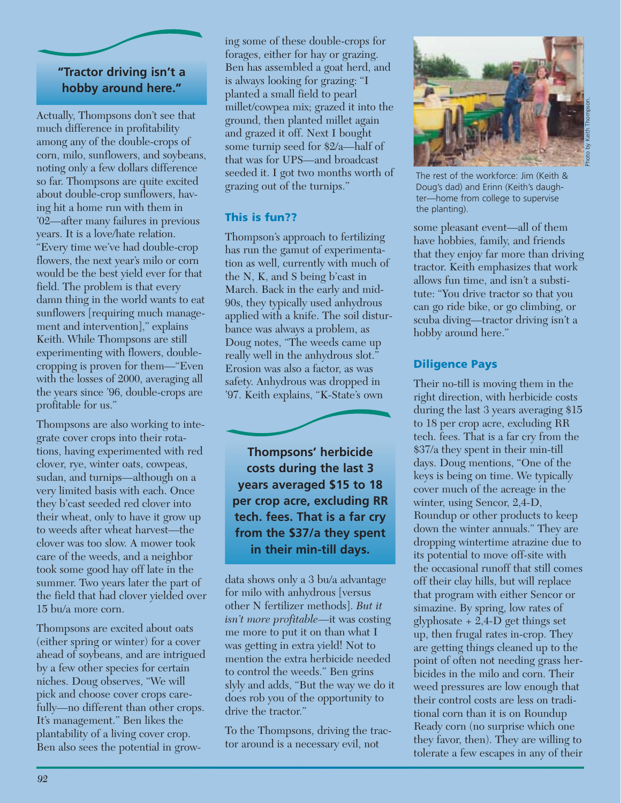## **"Tractor driving isn't a hobby around here."**

Actually, Thompsons don't see that much difference in profitability among any of the double-crops of corn, milo, sunflowers, and soybeans, noting only a few dollars difference so far. Thompsons are quite excited about double-crop sunflowers, having hit a home run with them in '02—after many failures in previous years. It is a love/hate relation. "Every time we've had double-crop flowers, the next year's milo or corn would be the best yield ever for that field. The problem is that every damn thing in the world wants to eat sunflowers [requiring much management and intervention]," explains Keith. While Thompsons are still experimenting with flowers, doublecropping is proven for them—"Even with the losses of 2000, averaging all the years since '96, double-crops are profitable for us."

Thompsons are also working to integrate cover crops into their rotations, having experimented with red clover, rye, winter oats, cowpeas, sudan, and turnips—although on a very limited basis with each. Once they b'cast seeded red clover into their wheat, only to have it grow up to weeds after wheat harvest—the clover was too slow. A mower took care of the weeds, and a neighbor took some good hay off late in the summer. Two years later the part of the field that had clover yielded over 15 bu/a more corn.

Thompsons are excited about oats (either spring or winter) for a cover ahead of soybeans, and are intrigued by a few other species for certain niches. Doug observes, "We will pick and choose cover crops carefully—no different than other crops. It's management." Ben likes the plantability of a living cover crop. Ben also sees the potential in growing some of these double-crops for forages, either for hay or grazing. Ben has assembled a goat herd, and is always looking for grazing: "I planted a small field to pearl millet/cowpea mix; grazed it into the ground, then planted millet again and grazed it off. Next I bought some turnip seed for \$2/a—half of that was for UPS—and broadcast seeded it. I got two months worth of grazing out of the turnips."

## **This is fun??**

Thompson's approach to fertilizing has run the gamut of experimentation as well, currently with much of the N, K, and S being b'cast in March. Back in the early and mid-90s, they typically used anhydrous applied with a knife. The soil disturbance was always a problem, as Doug notes, "The weeds came up really well in the anhydrous slot." Erosion was also a factor, as was safety. Anhydrous was dropped in '97. Keith explains, "K-State's own

**Thompsons' herbicide costs during the last 3 years averaged \$15 to 18 per crop acre, excluding RR tech. fees. That is a far cry from the \$37/a they spent in their min-till days.** 

data shows only a 3 bu/a advantage for milo with anhydrous [versus other N fertilizer methods]. *But it isn't more profitable*—it was costing me more to put it on than what I was getting in extra yield! Not to mention the extra herbicide needed to control the weeds." Ben grins slyly and adds, "But the way we do it does rob you of the opportunity to drive the tractor."

To the Thompsons, driving the tractor around is a necessary evil, not



The rest of the workforce: Jim (Keith & Doug's dad) and Erinn (Keith's daughter—home from college to supervise the planting).

Photo by Keith Thompson.

some pleasant event—all of them have hobbies, family, and friends that they enjoy far more than driving tractor. Keith emphasizes that work allows fun time, and isn't a substitute: "You drive tractor so that you can go ride bike, or go climbing, or scuba diving—tractor driving isn't a hobby around here."

## **Diligence Pays**

Their no-till is moving them in the right direction, with herbicide costs during the last 3 years averaging \$15 to 18 per crop acre, excluding RR tech. fees. That is a far cry from the \$37/a they spent in their min-till days. Doug mentions, "One of the keys is being on time. We typically cover much of the acreage in the winter, using Sencor, 2,4-D, Roundup or other products to keep down the winter annuals." They are dropping wintertime atrazine due to its potential to move off-site with the occasional runoff that still comes off their clay hills, but will replace that program with either Sencor or simazine. By spring, low rates of glyphosate + 2,4-D get things set up, then frugal rates in-crop. They are getting things cleaned up to the point of often not needing grass herbicides in the milo and corn. Their weed pressures are low enough that their control costs are less on traditional corn than it is on Roundup Ready corn (no surprise which one they favor, then). They are willing to tolerate a few escapes in any of their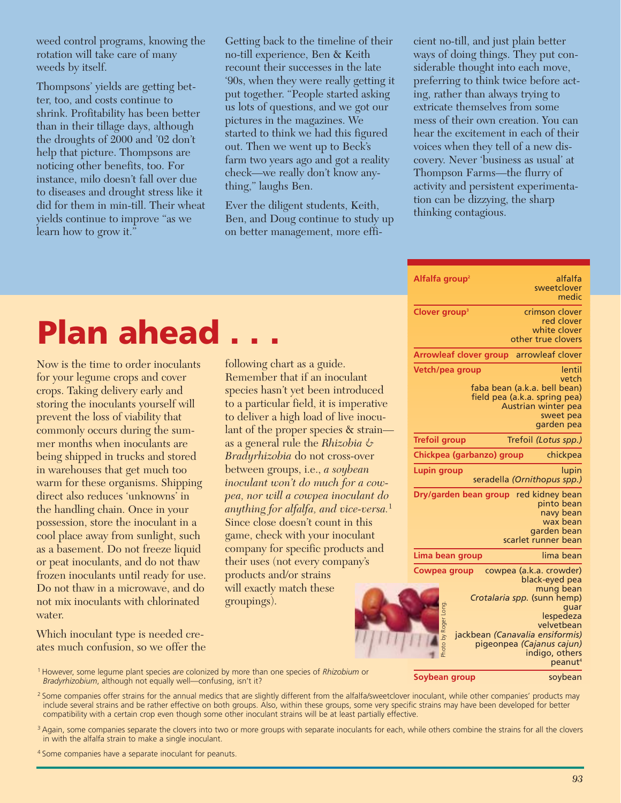weed control programs, knowing the rotation will take care of many weeds by itself.

Thompsons' yields are getting better, too, and costs continue to shrink. Profitability has been better than in their tillage days, although the droughts of 2000 and '02 don't help that picture. Thompsons are noticing other benefits, too. For instance, milo doesn't fall over due to diseases and drought stress like it did for them in min-till. Their wheat yields continue to improve "as we learn how to grow it."

Getting back to the timeline of their no-till experience, Ben & Keith recount their successes in the late '90s, when they were really getting it put together. "People started asking us lots of questions, and we got our pictures in the magazines. We started to think we had this figured out. Then we went up to Beck's farm two years ago and got a reality check—we really don't know anything," laughs Ben.

Ever the diligent students, Keith, Ben, and Doug continue to study up on better management, more efficient no-till, and just plain better ways of doing things. They put considerable thought into each move, preferring to think twice before acting, rather than always trying to extricate themselves from some mess of their own creation. You can hear the excitement in each of their voices when they tell of a new discovery. Never 'business as usual' at Thompson Farms—the flurry of activity and persistent experimentation can be dizzying, the sharp thinking contagious.

| Alfalfa group <sup>2</sup>    | alfalfa                         |
|-------------------------------|---------------------------------|
|                               | sweetclover                     |
|                               | medic                           |
| Clover group <sup>3</sup>     | crimson clover                  |
|                               | red clover                      |
|                               | white clover                    |
|                               | other true clovers              |
| <b>Arrowleaf clover group</b> | arrowleaf clover                |
| Vetch/pea group               | lentil                          |
|                               | vetch                           |
|                               | faba bean (a.k.a. bell bean)    |
|                               | field pea (a.k.a. spring pea)   |
|                               | Austrian winter pea             |
|                               | sweet pea                       |
|                               | garden pea                      |
| <b>Trefoil group</b>          | Trefoil (Lotus spp.)            |
| Chickpea (garbanzo) group     | chickpea                        |
| Lupin group                   | lupin                           |
|                               | seradella (Ornithopus spp.)     |
| Dry/garden bean group         | red kidney bean                 |
|                               | pinto bean                      |
|                               | navy bean                       |
|                               | wax bean                        |
|                               | garden bean                     |
|                               | scarlet runner bean             |
| Lima bean group               | lima bean                       |
| Cowpea group                  | cowpea (a.k.a. crowder)         |
|                               | black-eyed pea                  |
|                               | mung bean                       |
|                               | Crotalaria spp. (sunn hemp)     |
|                               | quar<br>lespedeza               |
| Photo by Roger Long.          | velvetbean                      |
|                               | jackbean (Canavalia ensiformis) |
|                               | pigeonpea (Cajanus cajun)       |
|                               | indigo, others                  |
|                               | peanut <sup>4</sup>             |

# **Plan ahead**

Now is the time to order inoculants for your legume crops and cover crops. Taking delivery early and storing the inoculants yourself will prevent the loss of viability that commonly occurs during the summer months when inoculants are being shipped in trucks and stored in warehouses that get much too warm for these organisms. Shipping direct also reduces 'unknowns' in the handling chain. Once in your possession, store the inoculant in a cool place away from sunlight, such as a basement. Do not freeze liquid or peat inoculants, and do not thaw frozen inoculants until ready for use. Do not thaw in a microwave, and do not mix inoculants with chlorinated water.

Which inoculant type is needed creates much confusion, so we offer the

following chart as a guide. Remember that if an inoculant species hasn't yet been introduced to a particular field, it is imperative to deliver a high load of live inoculant of the proper species & strain as a general rule the *Rhizobia & Bradyrhizobia* do not cross-over between groups, i.e., *a soybean inoculant won't do much for a cowpea, nor will a cowpea inoculant do anything for alfalfa, and vice-versa.*<sup>1</sup> Since close doesn't count in this game, check with your inoculant company for specific products and their uses (not every company's products and/or strains will exactly match these groupings).

| <sup>1</sup> However, some legume plant species are colonized by more than one species of <i>Rhizobium</i> or |  |
|---------------------------------------------------------------------------------------------------------------|--|
| <i>Bradyrhizobium, although not equally well—confusing, isn't it?</i>                                         |  |

**Soybean group** soybean

<sup>2</sup> Some companies offer strains for the annual medics that are slightly different from the alfalfa/sweetclover inoculant, while other companies' products may include several strains and be rather effective on both groups. Also, within these groups, some very specific strains may have been developed for better compatibility with a certain crop even though some other inoculant strains will be at least partially effective.

- <sup>3</sup> Again, some companies separate the clovers into two or more groups with separate inoculants for each, while others combine the strains for all the clovers in with the alfalfa strain to make a single inoculant.
- 4 Some companies have a separate inoculant for peanuts.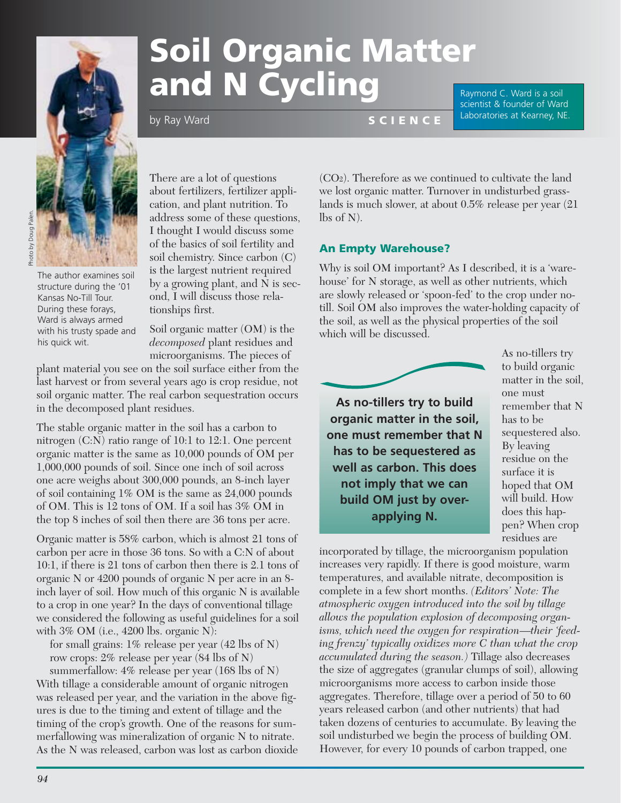

# Photo by Doug Palen. Photo by Doug Paler

The author examines soil structure during the '01 Kansas No-Till Tour. During these forays, Ward is always armed with his trusty spade and his quick wit.

There are a lot of questions about fertilizers, fertilizer application, and plant nutrition. To address some of these questions, I thought I would discuss some of the basics of soil fertility and soil chemistry. Since carbon (C) is the largest nutrient required by a growing plant, and N is second, I will discuss those relationships first.

Soil organic matter (OM) is the *decomposed* plant residues and microorganisms. The pieces of

plant material you see on the soil surface either from the last harvest or from several years ago is crop residue, not soil organic matter. The real carbon sequestration occurs in the decomposed plant residues.

by Ray Ward

The stable organic matter in the soil has a carbon to nitrogen (C:N) ratio range of 10:1 to 12:1. One percent organic matter is the same as 10,000 pounds of OM per 1,000,000 pounds of soil. Since one inch of soil across one acre weighs about 300,000 pounds, an 8-inch layer of soil containing 1% OM is the same as 24,000 pounds of OM. This is 12 tons of OM. If a soil has 3% OM in the top 8 inches of soil then there are 36 tons per acre.

Organic matter is 58% carbon, which is almost 21 tons of carbon per acre in those 36 tons. So with a C:N of about 10:1, if there is 21 tons of carbon then there is 2.1 tons of organic N or 4200 pounds of organic N per acre in an 8 inch layer of soil. How much of this organic N is available to a crop in one year? In the days of conventional tillage we considered the following as useful guidelines for a soil with  $3\%$  OM (i.e.,  $4200$  lbs. organic N):

for small grains: 1% release per year (42 lbs of N) row crops: 2% release per year (84 lbs of N)

summerfallow: 4% release per year (168 lbs of N) With tillage a considerable amount of organic nitrogen was released per year, and the variation in the above figures is due to the timing and extent of tillage and the timing of the crop's growth. One of the reasons for summerfallowing was mineralization of organic N to nitrate. As the N was released, carbon was lost as carbon dioxide

# **Soil Organic Matter and N Cycling S C I E N C E** Laboratories at Kearney, NE.

Raymond C. Ward is a soil scientist & founder of Ward

(CO2). Therefore as we continued to cultivate the land we lost organic matter. Turnover in undisturbed grasslands is much slower, at about 0.5% release per year (21 lbs of N).

#### **An Empty Warehouse?**

Why is soil OM important? As I described, it is a 'warehouse' for N storage, as well as other nutrients, which are slowly released or 'spoon-fed' to the crop under notill. Soil OM also improves the water-holding capacity of the soil, as well as the physical properties of the soil which will be discussed.



**build OM just by overapplying N.** 

As no-tillers try to build organic matter in the soil, one must remember that N has to be sequestered also. By leaving residue on the surface it is hoped that OM will build. How does this happen? When crop residues are

incorporated by tillage, the microorganism population increases very rapidly. If there is good moisture, warm temperatures, and available nitrate, decomposition is complete in a few short months. *(Editors' Note: The atmospheric oxygen introduced into the soil by tillage allows the population explosion of decomposing organisms, which need the oxygen for respiration—their 'feeding frenzy' typically oxidizes more C than what the crop accumulated during the season.)* Tillage also decreases the size of aggregates (granular clumps of soil), allowing microorganisms more access to carbon inside those aggregates. Therefore, tillage over a period of 50 to 60 years released carbon (and other nutrients) that had taken dozens of centuries to accumulate. By leaving the soil undisturbed we begin the process of building OM. However, for every 10 pounds of carbon trapped, one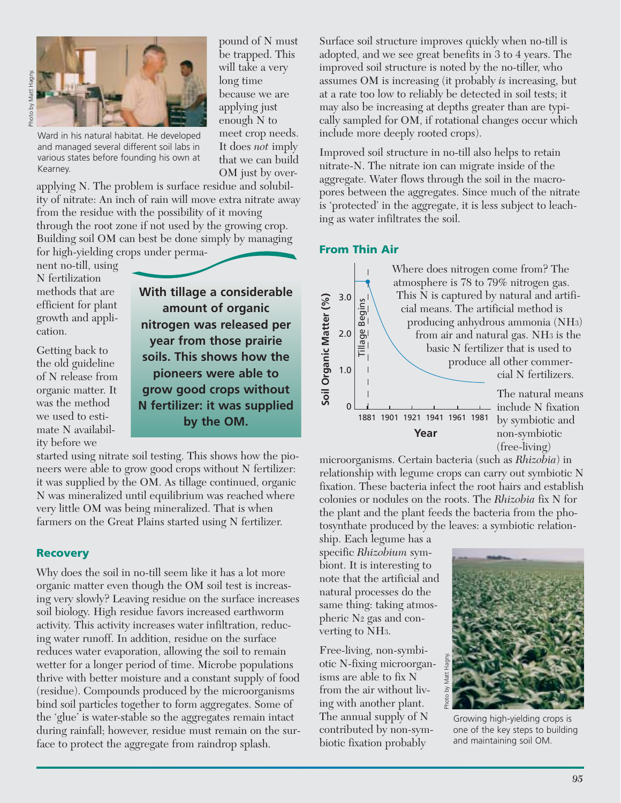

Ward in his natural habitat. He developed and managed several different soil labs in various states before founding his own at Kearney.

applying N. The problem is surface residue and solubility of nitrate: An inch of rain will move extra nitrate away from the residue with the possibility of it moving through the root zone if not used by the growing crop. Building soil OM can best be done simply by managing for high-yielding crops under perma-

nent no-till, using N fertilization methods that are efficient for plant growth and application.

Getting back to the old guideline of N release from organic matter. It was the method we used to estimate N availability before we

**With tillage a considerable amount of organic nitrogen was released per year from those prairie soils. This shows how the pioneers were able to grow good crops without N fertilizer: it was supplied by the OM.**

It does *not* imply that we can build OM just by over-

started using nitrate soil testing. This shows how the pioneers were able to grow good crops without N fertilizer: it was supplied by the OM. As tillage continued, organic N was mineralized until equilibrium was reached where very little OM was being mineralized. That is when farmers on the Great Plains started using N fertilizer.

#### **Recovery**

Why does the soil in no-till seem like it has a lot more organic matter even though the OM soil test is increasing very slowly? Leaving residue on the surface increases soil biology. High residue favors increased earthworm activity. This activity increases water infiltration, reducing water runoff. In addition, residue on the surface reduces water evaporation, allowing the soil to remain wetter for a longer period of time. Microbe populations thrive with better moisture and a constant supply of food (residue). Compounds produced by the microorganisms bind soil particles together to form aggregates. Some of the 'glue' is water-stable so the aggregates remain intact during rainfall; however, residue must remain on the surface to protect the aggregate from raindrop splash.

Surface soil structure improves quickly when no-till is adopted, and we see great benefits in 3 to 4 years. The improved soil structure is noted by the no-tiller, who assumes OM is increasing (it probably *is* increasing, but at a rate too low to reliably be detected in soil tests; it may also be increasing at depths greater than are typically sampled for OM, if rotational changes occur which include more deeply rooted crops).

Improved soil structure in no-till also helps to retain nitrate-N. The nitrate ion can migrate inside of the aggregate. Water flows through the soil in the macropores between the aggregates. Since much of the nitrate is 'protected' in the aggregate, it is less subject to leaching as water infiltrates the soil.

#### **From Thin Air**



microorganisms. Certain bacteria (such as *Rhizobia*) in relationship with legume crops can carry out symbiotic N fixation. These bacteria infect the root hairs and establish colonies or nodules on the roots. The *Rhizobia* fix N for the plant and the plant feeds the bacteria from the photosynthate produced by the leaves: a symbiotic relation-

ship. Each legume has a specific *Rhizobium* symbiont. It is interesting to note that the artificial and natural processes do the same thing: taking atmospheric N2 gas and converting to NH3.

Free-living, non-symbiotic N-fixing microorganisms are able to fix N from the air without living with another plant. The annual supply of N contributed by non-symbiotic fixation probably



Growing high-yielding crops is one of the key steps to building and maintaining soil OM.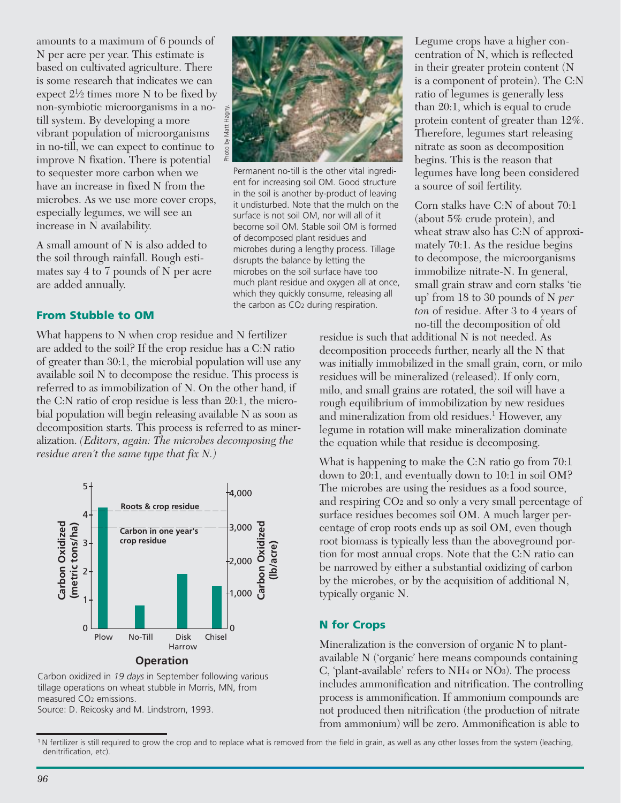amounts to a maximum of 6 pounds of N per acre per year. This estimate is based on cultivated agriculture. There is some research that indicates we can expect  $2\frac{1}{2}$  times more N to be fixed by non-symbiotic microorganisms in a notill system. By developing a more vibrant population of microorganisms in no-till, we can expect to continue to improve N fixation. There is potential to sequester more carbon when we have an increase in fixed N from the microbes. As we use more cover crops, especially legumes, we will see an increase in N availability.

A small amount of N is also added to the soil through rainfall. Rough estimates say 4 to 7 pounds of N per acre are added annually.

### **From Stubble to OM**

What happens to N when crop residue and N fertilizer are added to the soil? If the crop residue has a C:N ratio of greater than 30:1, the microbial population will use any available soil N to decompose the residue. This process is referred to as immobilization of N. On the other hand, if the C:N ratio of crop residue is less than 20:1, the microbial population will begin releasing available N as soon as decomposition starts. This process is referred to as mineralization. *(Editors, again: The microbes decomposing the residue aren't the same type that fix N.)*



Carbon oxidized in *19 days* in September following various tillage operations on wheat stubble in Morris, MN, from measured CO2 emissions.

Source: D. Reicosky and M. Lindstrom, 1993.



Permanent no-till is the other vital ingredient for increasing soil OM. Good structure in the soil is another by-product of leaving it undisturbed. Note that the mulch on the surface is not soil OM, nor will all of it become soil OM. Stable soil OM is formed of decomposed plant residues and microbes during a lengthy process. Tillage disrupts the balance by letting the microbes on the soil surface have too much plant residue and oxygen all at once, which they quickly consume, releasing all the carbon as CO2 during respiration.

Legume crops have a higher concentration of N, which is reflected in their greater protein content (N is a component of protein). The C:N ratio of legumes is generally less than 20:1, which is equal to crude protein content of greater than 12%. Therefore, legumes start releasing nitrate as soon as decomposition begins. This is the reason that legumes have long been considered a source of soil fertility.

Corn stalks have C:N of about 70:1 (about 5% crude protein), and wheat straw also has C:N of approximately 70:1. As the residue begins to decompose, the microorganisms immobilize nitrate-N. In general, small grain straw and corn stalks 'tie up' from 18 to 30 pounds of N *per ton* of residue. After 3 to 4 years of no-till the decomposition of old

residue is such that additional N is not needed. As decomposition proceeds further, nearly all the N that was initially immobilized in the small grain, corn, or milo residues will be mineralized (released). If only corn, milo, and small grains are rotated, the soil will have a rough equilibrium of immobilization by new residues and mineralization from old residues.<sup>1</sup> However, any legume in rotation will make mineralization dominate the equation while that residue is decomposing.

What is happening to make the C:N ratio go from 70:1 down to 20:1, and eventually down to 10:1 in soil OM? The microbes are using the residues as a food source, and respiring CO2 and so only a very small percentage of surface residues becomes soil OM. A much larger percentage of crop roots ends up as soil OM, even though root biomass is typically less than the aboveground portion for most annual crops. Note that the C:N ratio can be narrowed by either a substantial oxidizing of carbon by the microbes, or by the acquisition of additional N, typically organic N.

#### **N for Crops**

Mineralization is the conversion of organic N to plantavailable N ('organic' here means compounds containing C, 'plant-available' refers to NH4 or NO3). The process includes ammonification and nitrification. The controlling process is ammonification. If ammonium compounds are not produced then nitrification (the production of nitrate from ammonium) will be zero. Ammonification is able to

<sup>&</sup>lt;sup>1</sup>N fertilizer is still required to grow the crop and to replace what is removed from the field in grain, as well as any other losses from the system (leaching, denitrification, etc).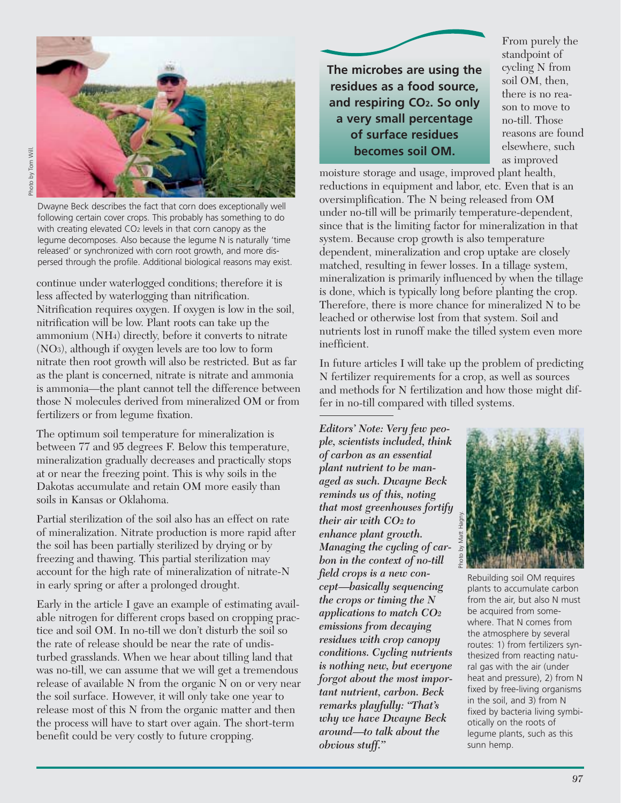

Dwayne Beck describes the fact that corn does exceptionally well following certain cover crops. This probably has something to do with creating elevated CO<sub>2</sub> levels in that corn canopy as the legume decomposes. Also because the legume N is naturally 'time released' or synchronized with corn root growth, and more dispersed through the profile. Additional biological reasons may exist.

continue under waterlogged conditions; therefore it is less affected by waterlogging than nitrification. Nitrification requires oxygen. If oxygen is low in the soil, nitrification will be low. Plant roots can take up the ammonium (NH4) directly, before it converts to nitrate (NO3), although if oxygen levels are too low to form nitrate then root growth will also be restricted. But as far as the plant is concerned, nitrate is nitrate and ammonia is ammonia—the plant cannot tell the difference between those N molecules derived from mineralized OM or from fertilizers or from legume fixation.

The optimum soil temperature for mineralization is between 77 and 95 degrees F. Below this temperature, mineralization gradually decreases and practically stops at or near the freezing point. This is why soils in the Dakotas accumulate and retain OM more easily than soils in Kansas or Oklahoma.

Partial sterilization of the soil also has an effect on rate of mineralization. Nitrate production is more rapid after the soil has been partially sterilized by drying or by freezing and thawing. This partial sterilization may account for the high rate of mineralization of nitrate-N in early spring or after a prolonged drought.

Early in the article I gave an example of estimating available nitrogen for different crops based on cropping practice and soil OM. In no-till we don't disturb the soil so the rate of release should be near the rate of undisturbed grasslands. When we hear about tilling land that was no-till, we can assume that we will get a tremendous release of available N from the organic N on or very near the soil surface. However, it will only take one year to release most of this N from the organic matter and then the process will have to start over again. The short-term benefit could be very costly to future cropping.

**The microbes are using the residues as a food source, and respiring CO2. So only a very small percentage of surface residues becomes soil OM.** 

From purely the standpoint of cycling N from soil OM, then, there is no reason to move to no-till. Those reasons are found elsewhere, such as improved

moisture storage and usage, improved plant health, reductions in equipment and labor, etc. Even that is an oversimplification. The N being released from OM under no-till will be primarily temperature-dependent, since that is the limiting factor for mineralization in that system. Because crop growth is also temperature dependent, mineralization and crop uptake are closely matched, resulting in fewer losses. In a tillage system, mineralization is primarily influenced by when the tillage is done, which is typically long before planting the crop. Therefore, there is more chance for mineralized N to be leached or otherwise lost from that system. Soil and nutrients lost in runoff make the tilled system even more inefficient.

In future articles I will take up the problem of predicting N fertilizer requirements for a crop, as well as sources and methods for N fertilization and how those might differ in no-till compared with tilled systems.

*Editors' Note: Very few people, scientists included, think of carbon as an essential plant nutrient to be managed as such. Dwayne Beck reminds us of this, noting that most greenhouses fortify their air with CO2 to enhance plant growth. Managing the cycling of carbon in the context of no-till field crops is a new concept—basically sequencing the crops or timing the N applications to match CO2 emissions from decaying residues with crop canopy conditions. Cycling nutrients is nothing new, but everyone forgot about the most important nutrient, carbon. Beck remarks playfully: "That's why we have Dwayne Beck around—to talk about the obvious stuff."*



Rebuilding soil OM requires plants to accumulate carbon from the air, but also N must be acquired from somewhere. That N comes from the atmosphere by several routes: 1) from fertilizers synthesized from reacting natural gas with the air (under heat and pressure), 2) from N fixed by free-living organisms in the soil, and 3) from N fixed by bacteria living symbiotically on the roots of legume plants, such as this sunn hemp.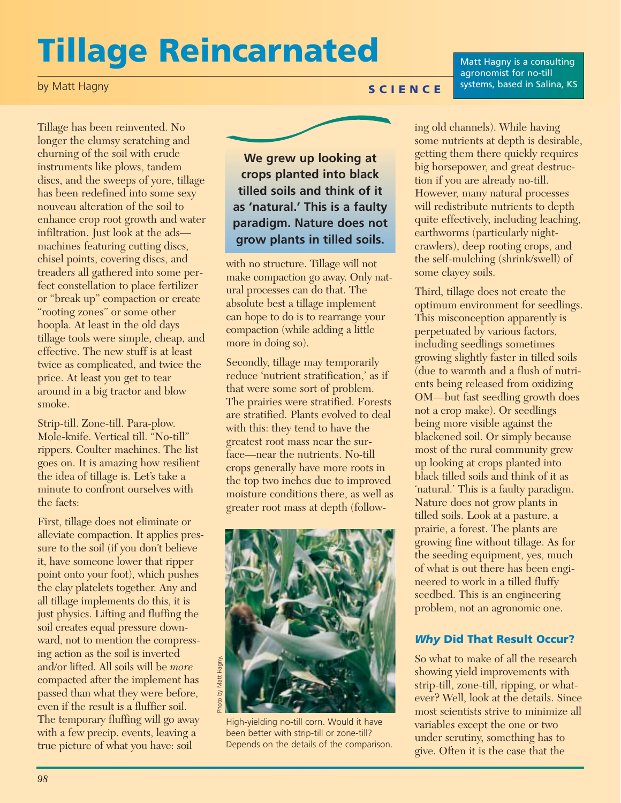# **Tillage Reincarnated**

by Matt Hagny

Matt Hagny is a consulting agronomist for no-till **SCIENCE** systems, based in Salina, KS

Tillage has been reinvented. No longer the clumsy scratching and churning of the soil with crude instruments like plows, tandem discs, and the sweeps of yore, tillage has been redefined into some sexy nouveau alteration of the soil to enhance crop root growth and water infiltration. Just look at the ads machines featuring cutting discs, chisel points, covering discs, and treaders all gathered into some perfect constellation to place fertilizer or "break up" compaction or create "rooting zones" or some other hoopla. At least in the old days tillage tools were simple, cheap, and effective. The new stuff is at least twice as complicated, and twice the price. At least you get to tear around in a big tractor and blow smoke.

Strip-till. Zone-till. Para-plow. Mole-knife. Vertical till. "No-till" rippers. Coulter machines. The list goes on. It is amazing how resilient the idea of tillage is. Let's take a minute to confront ourselves with the facts:

First, tillage does not eliminate or alleviate compaction. It applies pressure to the soil (if you don't believe it, have someone lower that ripper point onto your foot), which pushes the clay platelets together. Any and all tillage implements do this, it is just physics. Lifting and fluffing the soil creates equal pressure downward, not to mention the compressing action as the soil is inverted and/or lifted. All soils will be *more* compacted after the implement has passed than what they were before, even if the result is a fluffier soil. The temporary fluffing will go away with a few precip. events, leaving a true picture of what you have: soil



with no structure. Tillage will not make compaction go away. Only natural processes can do that. The absolute best a tillage implement can hope to do is to rearrange your compaction (while adding a little more in doing so).

Secondly, tillage may temporarily reduce 'nutrient stratification,' as if that were some sort of problem. The prairies were stratified. Forests are stratified. Plants evolved to deal with this: they tend to have the greatest root mass near the surface—near the nutrients. No-till crops generally have more roots in the top two inches due to improved moisture conditions there, as well as greater root mass at depth (follow-



High-yielding no-till corn. Would it have been better with strip-till or zone-till? Depends on the details of the comparison.

ing old channels). While having some nutrients at depth is desirable, getting them there quickly requires big horsepower, and great destruction if you are already no-till. However, many natural processes will redistribute nutrients to depth quite effectively, including leaching, earthworms (particularly nightcrawlers), deep rooting crops, and the self-mulching (shrink/swell) of some clayey soils.

Third, tillage does not create the optimum environment for seedlings. This misconception apparently is perpetuated by various factors, including seedlings sometimes growing slightly faster in tilled soils (due to warmth and a flush of nutrients being released from oxidizing OM—but fast seedling growth does not a crop make). Or seedlings being more visible against the blackened soil. Or simply because most of the rural community grew up looking at crops planted into black tilled soils and think of it as 'natural.' This is a faulty paradigm. Nature does not grow plants in tilled soils. Look at a pasture, a prairie, a forest. The plants are growing fine without tillage. As for the seeding equipment, yes, much of what is out there has been engineered to work in a tilled fluffy seedbed. This is an engineering problem, not an agronomic one.

### *Why* **Did That Result Occur?**

So what to make of all the research showing yield improvements with strip-till, zone-till, ripping, or whatever? Well, look at the details. Since most scientists strive to minimize all variables except the one or two under scrutiny, something has to give. Often it is the case that the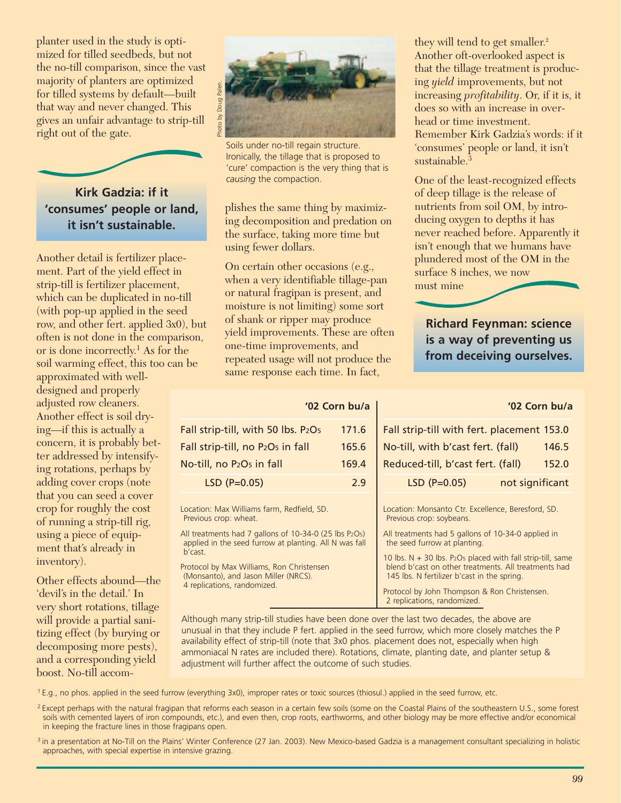planter used in the study is optimized for tilled seedbeds, but not the no-till comparison, since the vast majority of planters are optimized for tilled systems by default—built that way and never changed. This gives an unfair advantage to strip-till right out of the gate.



Another detail is fertilizer placement. Part of the yield effect in strip-till is fertilizer placement, which can be duplicated in no-till (with pop-up applied in the seed row, and other fert. applied 3x0), but often is not done in the comparison, or is done incorrectly.1 As for the soil warming effect, this too can be

approximated with welldesigned and properly adjusted row cleaners. Another effect is soil drying—if this is actually a concern, it is probably better addressed by intensifying rotations, perhaps by adding cover crops (note that you can seed a cover crop for roughly the cost of running a strip-till rig, using a piece of equipment that's already in inventory).

Other effects abound—the 'devil's in the detail.' In very short rotations, tillage will provide a partial sanitizing effect (by burying or decomposing more pests), and a corresponding yield boost. No-till accom-



Soils under no-till regain structure. Ironically, the tillage that is proposed to 'cure' compaction is the very thing that is *causing* the compaction.

plishes the same thing by maximizing decomposition and predation on the surface, taking more time but using fewer dollars.

On certain other occasions (e.g., when a very identifiable tillage-pan or natural fragipan is present, and moisture is not limiting) some sort of shank or ripper may produce yield improvements. These are often one-time improvements, and repeated usage will not produce the same response each time. In fact,

#### **'02 Corn bu/a**

| Fall strip-till, with 50 lbs. P2O5                        | 171.6 |
|-----------------------------------------------------------|-------|
| Fall strip-till, no P <sub>2</sub> O <sub>5</sub> in fall | 165.6 |
| No-till, no P2O <sub>5</sub> in fall                      | 169.4 |
| $LSD$ (P=0.05)                                            | 2.9   |

Location: Max Williams farm, Redfield, SD. Previous crop: wheat.

All treatments had 7 gallons of 10-34-0 (25 lbs P2O5) applied in the seed furrow at planting. All N was fall b'cast.

Protocol by Max Williams, Ron Christensen (Monsanto), and Jason Miller (NRCS). 4 replications, randomized.

they will tend to get smaller.<sup>2</sup> Another oft-overlooked aspect is that the tillage treatment is producing *yield* improvements, but not increasing *profitability*. Or, if it is, it does so with an increase in overhead or time investment. Remember Kirk Gadzia's words: if it 'consumes' people or land, it isn't sustainable.<sup>3</sup>

One of the least-recognized effects of deep tillage is the release of nutrients from soil OM, by introducing oxygen to depths it has never reached before. Apparently it isn't enough that we humans have plundered most of the OM in the surface 8 inches, we now must mine

**Richard Feynman: science is a way of preventing us from deceiving ourselves.** 

#### **'02 Corn bu/a**

| Fall strip-till with fert. placement 153.0 |                 |       |
|--------------------------------------------|-----------------|-------|
| No-till, with b'cast fert. (fall)          |                 | 146.5 |
| Reduced-till, b'cast fert. (fall)          |                 | 152.0 |
| $LSD$ (P=0.05)                             | not significant |       |

Location: Monsanto Ctr. Excellence, Beresford, SD. Previous crop: soybeans.

All treatments had 5 gallons of 10-34-0 applied in the seed furrow at planting.

10 lbs. N + 30 lbs. P2O5 placed with fall strip-till, same blend b'cast on other treatments. All treatments had 145 lbs. N fertilizer b'cast in the spring.

Protocol by John Thompson & Ron Christensen. 2 replications, randomized.

Although many strip-till studies have been done over the last two decades, the above are unusual in that they include P fert. applied in the seed furrow, which more closely matches the P availability effect of strip-till (note that 3x0 phos. placement does not, especially when high ammoniacal N rates are included there). Rotations, climate, planting date, and planter setup & adjustment will further affect the outcome of such studies.

1 E.g., no phos. applied in the seed furrow (everything 3x0), improper rates or toxic sources (thiosul.) applied in the seed furrow, etc.

<sup>2</sup> Except perhaps with the natural fragipan that reforms each season in a certain few soils (some on the Coastal Plains of the southeastern U.S., some forest soils with cemented layers of iron compounds, etc.), and even then, crop roots, earthworms, and other biology may be more effective and/or economical in keeping the fracture lines in those fragipans open.

<sup>3</sup> in a presentation at No-Till on the Plains' Winter Conference (27 Jan. 2003). New Mexico-based Gadzia is a management consultant specializing in holistic approaches, with special expertise in intensive grazing.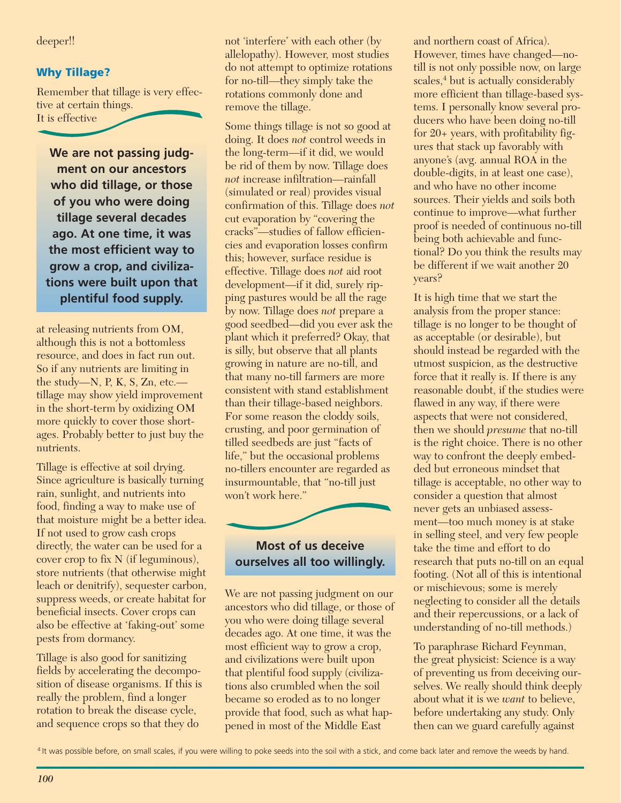deeper!!

### **Why Tillage?**

Remember that tillage is very effective at certain things. It is effective

**We are not passing judgment on our ancestors who did tillage, or those of you who were doing tillage several decades ago. At one time, it was the most efficient way to grow a crop, and civilizations were built upon that plentiful food supply.**

at releasing nutrients from OM, although this is not a bottomless resource, and does in fact run out. So if any nutrients are limiting in the study—N, P, K, S, Zn, etc. tillage may show yield improvement in the short-term by oxidizing OM more quickly to cover those shortages. Probably better to just buy the nutrients.

Tillage is effective at soil drying. Since agriculture is basically turning rain, sunlight, and nutrients into food, finding a way to make use of that moisture might be a better idea. If not used to grow cash crops directly, the water can be used for a cover crop to fix N (if leguminous), store nutrients (that otherwise might leach or denitrify), sequester carbon, suppress weeds, or create habitat for beneficial insects. Cover crops can also be effective at 'faking-out' some pests from dormancy.

Tillage is also good for sanitizing fields by accelerating the decomposition of disease organisms. If this is really the problem, find a longer rotation to break the disease cycle, and sequence crops so that they do

not 'interfere' with each other (by allelopathy). However, most studies do not attempt to optimize rotations for no-till—they simply take the rotations commonly done and remove the tillage.

Some things tillage is not so good at doing. It does *not* control weeds in the long-term—if it did, we would be rid of them by now. Tillage does *not* increase infiltration—rainfall (simulated or real) provides visual confirmation of this. Tillage does *not* cut evaporation by "covering the cracks"—studies of fallow efficiencies and evaporation losses confirm this; however, surface residue is effective. Tillage does *not* aid root development—if it did, surely ripping pastures would be all the rage by now. Tillage does *not* prepare a good seedbed—did you ever ask the plant which it preferred? Okay, that is silly, but observe that all plants growing in nature are no-till, and that many no-till farmers are more consistent with stand establishment than their tillage-based neighbors. For some reason the cloddy soils, crusting, and poor germination of tilled seedbeds are just "facts of life," but the occasional problems no-tillers encounter are regarded as insurmountable, that "no-till just won't work here."



## **Most of us deceive ourselves all too willingly.**

We are not passing judgment on our ancestors who did tillage, or those of you who were doing tillage several decades ago. At one time, it was the most efficient way to grow a crop, and civilizations were built upon that plentiful food supply (civilizations also crumbled when the soil became so eroded as to no longer provide that food, such as what happened in most of the Middle East

and northern coast of Africa). However, times have changed—notill is not only possible now, on large scales,<sup>4</sup> but is actually considerably more efficient than tillage-based systems. I personally know several producers who have been doing no-till for 20+ years, with profitability figures that stack up favorably with anyone's (avg. annual ROA in the double-digits, in at least one case), and who have no other income sources. Their yields and soils both continue to improve—what further proof is needed of continuous no-till being both achievable and functional? Do you think the results may be different if we wait another 20 years?

It is high time that we start the analysis from the proper stance: tillage is no longer to be thought of as acceptable (or desirable), but should instead be regarded with the utmost suspicion, as the destructive force that it really is. If there is any reasonable doubt, if the studies were flawed in any way, if there were aspects that were not considered, then we should *presume* that no-till is the right choice. There is no other way to confront the deeply embedded but erroneous mindset that tillage is acceptable, no other way to consider a question that almost never gets an unbiased assessment—too much money is at stake in selling steel, and very few people take the time and effort to do research that puts no-till on an equal footing. (Not all of this is intentional or mischievous; some is merely neglecting to consider all the details and their repercussions, or a lack of understanding of no-till methods.)

To paraphrase Richard Feynman, the great physicist: Science is a way of preventing us from deceiving ourselves. We really should think deeply about what it is we *want* to believe, before undertaking any study. Only then can we guard carefully against

<sup>&</sup>lt;sup>4</sup> It was possible before, on small scales, if you were willing to poke seeds into the soil with a stick, and come back later and remove the weeds by hand.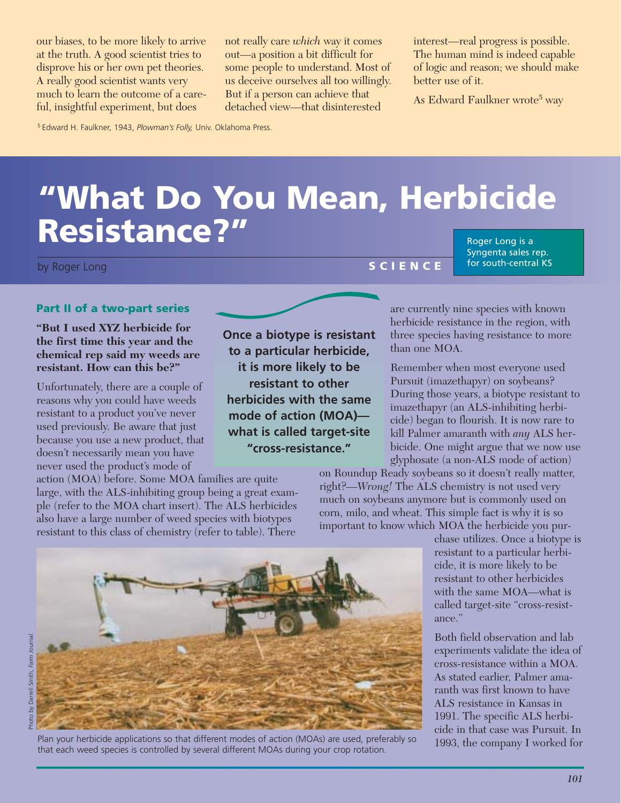at the truth. A good scientist tries to disprove his or her own pet theories. A really good scientist wants very much to learn the outcome of a careful, insightful experiment, but does

not really care *which* way it comes out—a position a bit difficult for some people to understand. Most of us deceive ourselves all too willingly. But if a person can achieve that detached view—that disinterested

interest—real progress is possible. The human mind is indeed capable of logic and reason; we should make better use of it.

As Edward Faulkner wrote<sup>5</sup> way

5 Edward H. Faulkner, 1943, *Plowman's Folly,* Univ. Oklahoma Press.

# **"What Do You Mean, Herbicide Resistance?"** Roger Long is a

Syngenta sales rep. for south-central KS

#### **Part II of a two-part series**

**"But I used XYZ herbicide for the first time this year and the chemical rep said my weeds are resistant. How can this be?"**

Unfortunately, there are a couple of reasons why you could have weeds resistant to a product you've never used previously. Be aware that just because you use a new product, that doesn't necessarily mean you have never used the product's mode of action (MOA) before. Some MOA families are quite our biases, to be more likely to arrive<br>at the truth. A good scientist trus to<br>disprove his or her own pet theories.<br>A really good scientist wants very<br>much to learn the outcome of a care-<br>full, insightful experiment, but

large, with the ALS-inhibiting group being a great example (refer to the MOA chart insert). The ALS herbicides also have a large number of weed species with biotypes resistant to this class of chemistry (refer to table). There

**Once a biotype is resistant to a particular herbicide, it is more likely to be resistant to other herbicides with the same mode of action (MOA) what is called target-site "cross-resistance."** 

Remember when most everyone used Pursuit (imazethapyr) on soybeans? During those years, a biotype resistant to imazethapyr (an ALS-inhibiting herbicide) began to flourish. It is now rare to kill Palmer amaranth with *any* ALS herbicide. One might argue that we now use glyphosate (a non-ALS mode of action)

on Roundup Ready soybeans so it doesn't really matter, right?—*Wrong!* The ALS chemistry is not used very much on soybeans anymore but is commonly used on corn, milo, and wheat. This simple fact is why it is so important to know which MOA the herbicide you pur-

chase utilizes. Once a biotype is resistant to a particular herbicide, it is more likely to be resistant to other herbicides with the same MOA—what is called target-site "cross-resistance."

Both field observation and lab experiments validate the idea of cross-resistance within a MOA. As stated earlier, Palmer amaranth was first known to have ALS resistance in Kansas in 1991. The specific ALS herbicide in that case was Pursuit. In 1993, the company I worked for



that each weed species is controlled by several different MOAs during your crop rotation.

are currently nine species with known herbicide resistance in the region, with three species having resistance to more



than one MOA.

*101*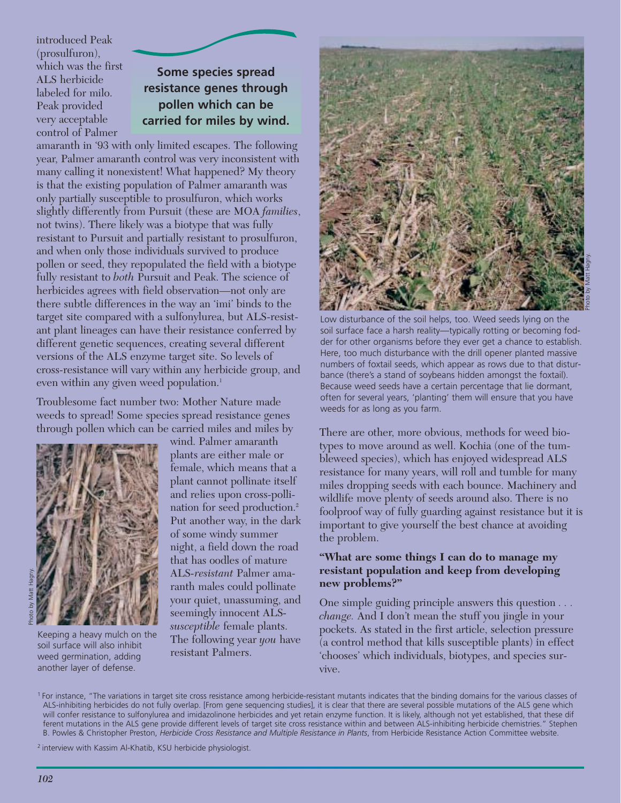introduced Peak (prosulfuron), which was the first ALS herbicide labeled for milo. Peak provided very acceptable control of Palmer

# **Some species spread resistance genes through pollen which can be carried for miles by wind.**

amaranth in '93 with only limited escapes. The following year, Palmer amaranth control was very inconsistent with many calling it nonexistent! What happened? My theory is that the existing population of Palmer amaranth was only partially susceptible to prosulfuron, which works slightly differently from Pursuit (these are MOA *families*, not twins). There likely was a biotype that was fully resistant to Pursuit and partially resistant to prosulfuron, and when only those individuals survived to produce pollen or seed, they repopulated the field with a biotype fully resistant to *both* Pursuit and Peak. The science of herbicides agrees with field observation—not only are there subtle differences in the way an 'imi' binds to the target site compared with a sulfonylurea, but ALS-resistant plant lineages can have their resistance conferred by different genetic sequences, creating several different versions of the ALS enzyme target site. So levels of cross-resistance will vary within any herbicide group, and even within any given weed population.<sup>1</sup>

Troublesome fact number two: Mother Nature made weeds to spread! Some species spread resistance genes through pollen which can be carried miles and miles by



Keeping a heavy mulch on the soil surface will also inhibit weed germination, adding another layer of defense.

wind. Palmer amaranth plants are either male or female, which means that a plant cannot pollinate itself and relies upon cross-pollination for seed production.2 Put another way, in the dark of some windy summer night, a field down the road that has oodles of mature ALS*-resistant* Palmer amaranth males could pollinate your quiet, unassuming, and seemingly innocent ALS*susceptible* female plants. The following year *you* have resistant Palmers.



Low disturbance of the soil helps, too. Weed seeds lying on the soil surface face a harsh reality—typically rotting or becoming fodder for other organisms before they ever get a chance to establish. Here, too much disturbance with the drill opener planted massive numbers of foxtail seeds, which appear as rows due to that disturbance (there's a stand of soybeans hidden amongst the foxtail). Because weed seeds have a certain percentage that lie dormant, often for several years, 'planting' them will ensure that you have weeds for as long as you farm.

There are other, more obvious, methods for weed biotypes to move around as well. Kochia (one of the tumbleweed species), which has enjoyed widespread ALS resistance for many years, will roll and tumble for many miles dropping seeds with each bounce. Machinery and wildlife move plenty of seeds around also. There is no foolproof way of fully guarding against resistance but it is important to give yourself the best chance at avoiding the problem.

#### **"What are some things I can do to manage my resistant population and keep from developing new problems?"**

One simple guiding principle answers this question *. . . change.* And I don't mean the stuff you jingle in your pockets. As stated in the first article, selection pressure (a control method that kills susceptible plants) in effect 'chooses' which individuals, biotypes, and species survive.

<sup>1</sup> For instance, "The variations in target site cross resistance among herbicide-resistant mutants indicates that the binding domains for the various classes of ALS-inhibiting herbicides do not fully overlap. [From gene sequencing studies], it is clear that there are several possible mutations of the ALS gene which will confer resistance to sulfonylurea and imidazolinone herbicides and yet retain enzyme function. It is likely, although not yet established, that these dif ferent mutations in the ALS gene provide different levels of target site cross resistance within and between ALS-inhibiting herbicide chemistries." Stephen B. Powles & Christopher Preston, *Herbicide Cross Resistance and Multiple Resistance in Plants*, from Herbicide Resistance Action Committee website.

2 interview with Kassim Al-Khatib, KSU herbicide physiologist.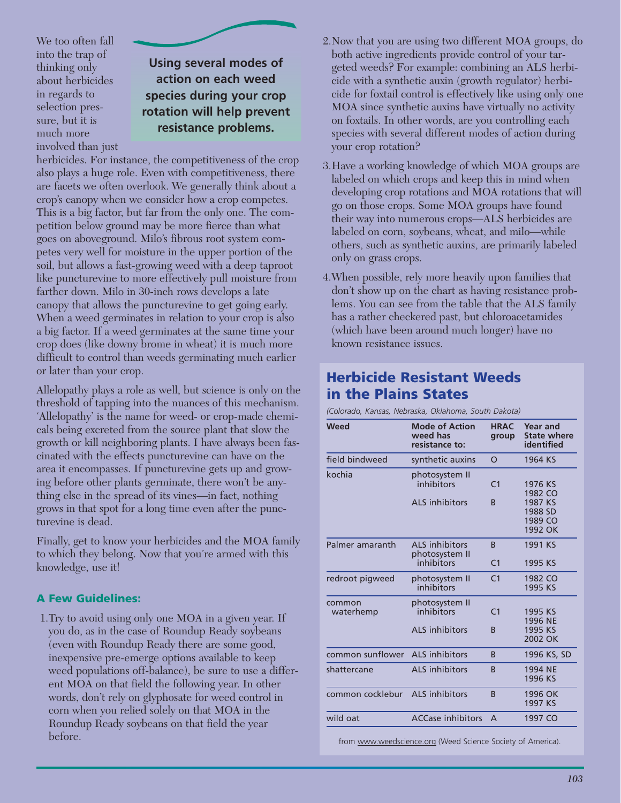We too often fall into the trap of thinking only about herbicides in regards to selection pressure, but it is much more involved than just

**Using several modes of action on each weed species during your crop rotation will help prevent**

# **resistance problems.**

herbicides. For instance, the competitiveness of the crop also plays a huge role. Even with competitiveness, there are facets we often overlook. We generally think about a crop's canopy when we consider how a crop competes. This is a big factor, but far from the only one. The competition below ground may be more fierce than what goes on aboveground. Milo's fibrous root system competes very well for moisture in the upper portion of the soil, but allows a fast-growing weed with a deep taproot like puncturevine to more effectively pull moisture from farther down. Milo in 30-inch rows develops a late canopy that allows the puncturevine to get going early. When a weed germinates in relation to your crop is also a big factor. If a weed germinates at the same time your crop does (like downy brome in wheat) it is much more difficult to control than weeds germinating much earlier or later than your crop.

Allelopathy plays a role as well, but science is only on the threshold of tapping into the nuances of this mechanism. 'Allelopathy' is the name for weed- or crop-made chemicals being excreted from the source plant that slow the growth or kill neighboring plants. I have always been fascinated with the effects puncturevine can have on the area it encompasses. If puncturevine gets up and growing before other plants germinate, there won't be anything else in the spread of its vines—in fact, nothing grows in that spot for a long time even after the puncturevine is dead.

Finally, get to know your herbicides and the MOA family to which they belong. Now that you're armed with this knowledge, use it!

### **A Few Guidelines:**

1.Try to avoid using only one MOA in a given year. If you do, as in the case of Roundup Ready soybeans (even with Roundup Ready there are some good, inexpensive pre-emerge options available to keep weed populations off-balance), be sure to use a different MOA on that field the following year. In other words, don't rely on glyphosate for weed control in corn when you relied solely on that MOA in the Roundup Ready soybeans on that field the year before.

- 2.Now that you are using two different MOA groups, do both active ingredients provide control of your targeted weeds? For example: combining an ALS herbicide with a synthetic auxin (growth regulator) herbicide for foxtail control is effectively like using only one MOA since synthetic auxins have virtually no activity on foxtails. In other words, are you controlling each species with several different modes of action during your crop rotation?
- 3.Have a working knowledge of which MOA groups are labeled on which crops and keep this in mind when developing crop rotations and MOA rotations that will go on those crops. Some MOA groups have found their way into numerous crops—ALS herbicides are labeled on corn, soybeans, wheat, and milo—while others, such as synthetic auxins, are primarily labeled only on grass crops.
- 4.When possible, rely more heavily upon families that don't show up on the chart as having resistance problems. You can see from the table that the ALS family has a rather checkered past, but chloroacetamides (which have been around much longer) have no known resistance issues.

# **Herbicide Resistant Weeds in the Plains States**

*(Colorado, Kansas, Nebraska, Oklahoma, South Dakota)*

| Weed                | <b>Mode of Action</b><br>weed has<br>resistance to:   | <b>HRAC</b><br>group           | <b>Year and</b><br><b>State where</b><br>identified            |
|---------------------|-------------------------------------------------------|--------------------------------|----------------------------------------------------------------|
| field bindweed      | synthetic auxins                                      | O                              | 1964 KS                                                        |
| kochia              | photosystem II<br>inhibitors<br>ALS inhibitors        | C <sub>1</sub><br><sub>B</sub> | 1976 KS<br>1982 CO<br>1987 KS<br>1988 SD<br>1989 CO<br>1992 OK |
| Palmer amaranth     | <b>ALS</b> inhibitors<br>photosystem II<br>inhibitors | <sub>B</sub><br>C <sub>1</sub> | 1991 KS<br>1995 KS                                             |
| redroot pigweed     | photosystem II<br>inhibitors                          | C <sub>1</sub>                 | 1982 CO<br>1995 KS                                             |
| common<br>waterhemp | photosystem II<br>inhibitors<br><b>ALS</b> inhibitors | C <sub>1</sub><br>R            | 1995 KS<br>1996 NE<br>1995 KS<br>2002 OK                       |
| common sunflower    | ALS inhibitors                                        | <sub>B</sub>                   | 1996 KS, SD                                                    |
| shattercane         | <b>ALS</b> inhibitors                                 | <sub>B</sub>                   | 1994 NE<br>1996 KS                                             |
| common cocklebur    | <b>ALS</b> inhibitors                                 | <sub>B</sub>                   | 1996 OK<br>1997 KS                                             |
| wild oat            | <b>ACCase inhibitors</b>                              | A                              | 1997 CO                                                        |
|                     |                                                       |                                |                                                                |

from www.weedscience.org (Weed Science Society of America).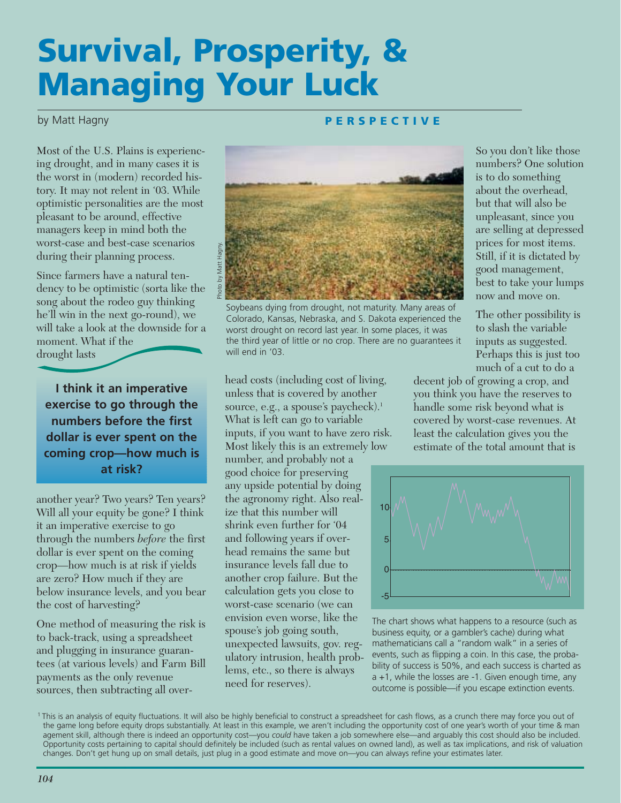# **Survival, Prosperity, & Managing Your Luck**

### by Matt Hagny

#### **PERSPECTIVE**

Most of the U.S. Plains is experiencing drought, and in many cases it is the worst in (modern) recorded history. It may not relent in '03. While optimistic personalities are the most pleasant to be around, effective managers keep in mind both the worst-case and best-case scenarios during their planning process.

Since farmers have a natural tendency to be optimistic (sorta like the song about the rodeo guy thinking he'll win in the next go-round), we will take a look at the downside for a moment. What if the drought lasts

**I think it an imperative exercise to go through the numbers before the first dollar is ever spent on the coming crop—how much is at risk?**

another year? Two years? Ten years? Will all your equity be gone? I think it an imperative exercise to go through the numbers *before* the first dollar is ever spent on the coming crop—how much is at risk if yields are zero? How much if they are below insurance levels, and you bear the cost of harvesting?

One method of measuring the risk is to back-track, using a spreadsheet and plugging in insurance guarantees (at various levels) and Farm Bill payments as the only revenue sources, then subtracting all over-



Soybeans dying from drought, not maturity. Many areas of Colorado, Kansas, Nebraska, and S. Dakota experienced the worst drought on record last year. In some places, it was the third year of little or no crop. There are no guarantees it will end in '03.

head costs (including cost of living, unless that is covered by another source, e.g., a spouse's paycheck).<sup>1</sup> What is left can go to variable inputs, if you want to have zero risk. Most likely this is an extremely low number, and probably not a good choice for preserving any upside potential by doing the agronomy right. Also realize that this number will shrink even further for '04 and following years if overhead remains the same but insurance levels fall due to another crop failure. But the calculation gets you close to worst-case scenario (we can envision even worse, like the spouse's job going south, unexpected lawsuits, gov. regulatory intrusion, health problems, etc., so there is always need for reserves).

So you don't like those numbers? One solution is to do something about the overhead, but that will also be unpleasant, since you are selling at depressed prices for most items. Still, if it is dictated by good management, best to take your lumps now and move on.

The other possibility is to slash the variable inputs as suggested. Perhaps this is just too much of a cut to do a

decent job of growing a crop, and you think you have the reserves to handle some risk beyond what is covered by worst-case revenues. At least the calculation gives you the estimate of the total amount that is



The chart shows what happens to a resource (such as business equity, or a gambler's cache) during what mathematicians call a "random walk" in a series of events, such as flipping a coin. In this case, the probability of success is 50%, and each success is charted as a +1, while the losses are -1. Given enough time, any outcome is possible—if you escape extinction events.

<sup>1</sup> This is an analysis of equity fluctuations. It will also be highly beneficial to construct a spreadsheet for cash flows, as a crunch there may force you out of the game long before equity drops substantially. At least in this example, we aren't including the opportunity cost of one year's worth of your time & man agement skill, although there is indeed an opportunity cost—you *could* have taken a job somewhere else—and arguably this cost should also be included. Opportunity costs pertaining to capital should definitely be included (such as rental values on owned land), as well as tax implications, and risk of valuation changes. Don't get hung up on small details, just plug in a good estimate and move on—you can always refine your estimates later.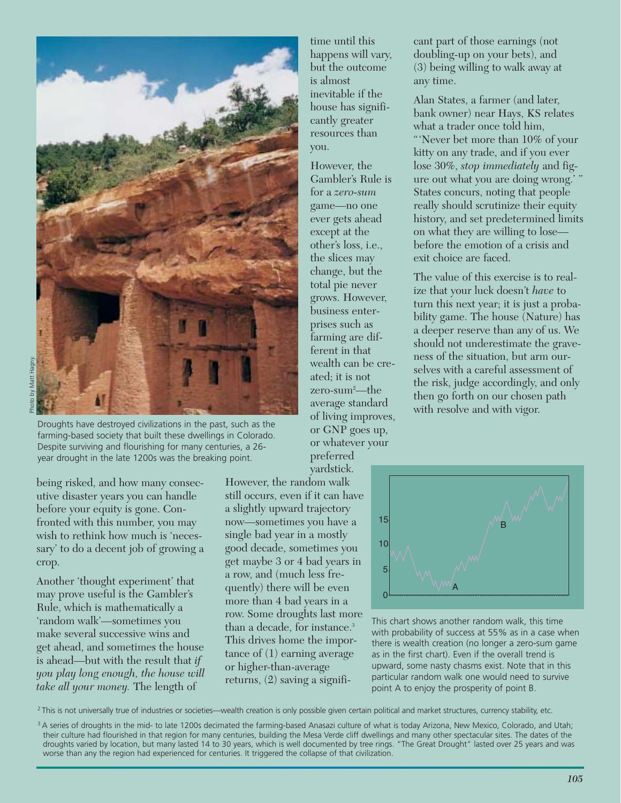

Droughts have destroyed civilizations in the past, such as the farming-based society that built these dwellings in Colorado. Despite surviving and flourishing for many centuries, a 26 year drought in the late 1200s was the breaking point.

being risked, and how many consecutive disaster years you can handle before your equity is gone. Confronted with this number, you may wish to rethink how much is 'necessary' to do a decent job of growing a crop.

Another 'thought experiment' that may prove useful is the Gambler's Rule, which is mathematically a 'random walk'—sometimes you make several successive wins and get ahead, and sometimes the house is ahead—but with the result that *if you play long enough, the house will take all your money.* The length of

time until this happens will vary, but the outcome is almost inevitable if the house has significantly greater resources than you.

However, the Gambler's Rule is for a *zero-sum* game—no one ever gets ahead except at the other's loss, i.e., the slices may change, but the total pie never grows. However, business enterprises such as farming are different in that wealth can be created; it is not zero-sum2 —the average standard of living improves, or GNP goes up, or whatever your preferred

yardstick.

However, the random walk still occurs, even if it can have a slightly upward trajectory now—sometimes you have a single bad year in a mostly good decade, sometimes you get maybe 3 or 4 bad years in a row, and (much less frequently) there will be even more than 4 bad years in a row. Some droughts last more than a decade, for instance.<sup>3</sup> This drives home the importance of (1) earning average or higher-than-average returns, (2) saving a significant part of those earnings (not doubling-up on your bets), and (3) being willing to walk away at any time.

Alan States, a farmer (and later, bank owner) near Hays, KS relates what a trader once told him,

"'Never bet more than 10% of your kitty on any trade, and if you ever lose 30%, *stop immediately* and figure out what you are doing wrong.' " States concurs, noting that people really should scrutinize their equity history, and set predetermined limits on what they are willing to lose before the emotion of a crisis and exit choice are faced.

The value of this exercise is to realize that your luck doesn't *have* to turn this next year; it is just a probability game. The house (Nature) has a deeper reserve than any of us. We should not underestimate the graveness of the situation, but arm ourselves with a careful assessment of the risk, judge accordingly, and only then go forth on our chosen path with resolve and with vigor.



This chart shows another random walk, this time with probability of success at 55% as in a case when there is wealth creation (no longer a zero-sum game as in the first chart). Even if the overall trend is upward, some nasty chasms exist. Note that in this particular random walk one would need to survive point A to enjoy the prosperity of point B.

<sup>2</sup> This is not universally true of industries or societies—wealth creation is only possible given certain political and market structures, currency stability, etc.

<sup>&</sup>lt;sup>3</sup> A series of droughts in the mid- to late 1200s decimated the farming-based Anasazi culture of what is today Arizona, New Mexico, Colorado, and Utah; their culture had flourished in that region for many centuries, building the Mesa Verde cliff dwellings and many other spectacular sites. The dates of the droughts varied by location, but many lasted 14 to 30 years, which is well documented by tree rings. "The Great Drought" lasted over 25 years and was worse than any the region had experienced for centuries. It triggered the collapse of that civilization.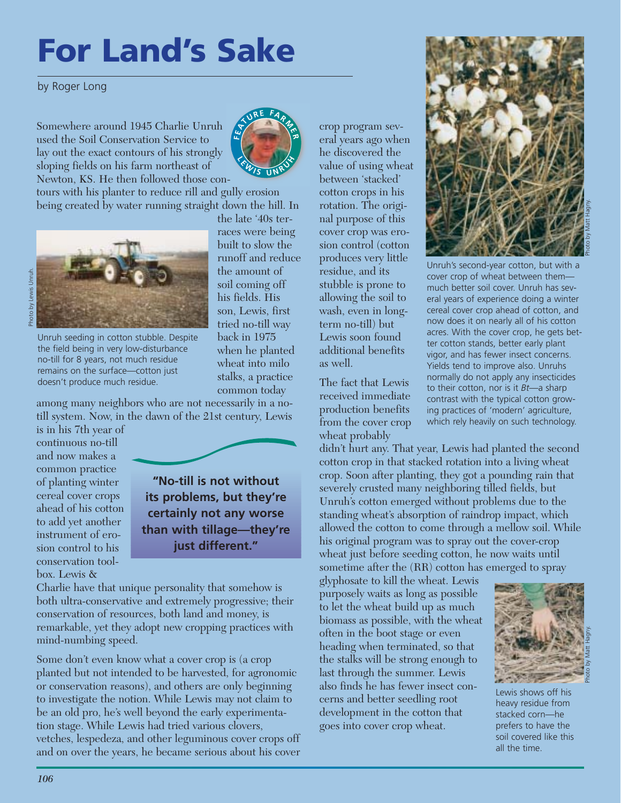# **For Land's Sake**

by Roger Long

Somewhere around 1945 Charlie Unruh used the Soil Conservation Service to lay out the exact contours of his strongly sloping fields on his farm northeast of Newton, KS. He then followed those con-



tours with his planter to reduce rill and gully erosion being created by water running straight down the hill. In



Photo by Lewis Unruh.Lewis Unruh hoto by

> Unruh seeding in cotton stubble. Despite the field being in very low-disturbance no-till for 8 years, not much residue remains on the surface—cotton just doesn't produce much residue.

common today among many neighbors who are not necessarily in a notill system. Now, in the dawn of the 21st century, Lewis

is in his 7th year of continuous no-till and now makes a common practice of planting winter cereal cover crops ahead of his cotton to add yet another instrument of erosion control to his conservation toolbox. Lewis &



back in 1975 when he planted wheat into milo stalks, a practice

**"No-till is not without its problems, but they're certainly not any worse than with tillage—they're just different."**

Charlie have that unique personality that somehow is both ultra-conservative and extremely progressive; their conservation of resources, both land and money, is remarkable, yet they adopt new cropping practices with mind-numbing speed.

Some don't even know what a cover crop is (a crop planted but not intended to be harvested, for agronomic or conservation reasons), and others are only beginning to investigate the notion. While Lewis may not claim to be an old pro, he's well beyond the early experimentation stage. While Lewis had tried various clovers, vetches, lespedeza, and other leguminous cover crops off and on over the years, he became serious about his cover crop program several years ago when he discovered the value of using wheat between 'stacked' cotton crops in his rotation. The original purpose of this cover crop was erosion control (cotton produces very little residue, and its stubble is prone to allowing the soil to wash, even in longterm no-till) but Lewis soon found additional benefits as well.

The fact that Lewis received immediate production benefits from the cover crop wheat probably



Photo by Matt Hagny.

Unruh's second-year cotton, but with a cover crop of wheat between them much better soil cover. Unruh has several years of experience doing a winter cereal cover crop ahead of cotton, and now does it on nearly all of his cotton acres. With the cover crop, he gets better cotton stands, better early plant vigor, and has fewer insect concerns. Yields tend to improve also. Unruhs normally do not apply any insecticides to their cotton, nor is it *Bt*—a sharp contrast with the typical cotton growing practices of 'modern' agriculture, which rely heavily on such technology.

didn't hurt any. That year, Lewis had planted the second cotton crop in that stacked rotation into a living wheat crop. Soon after planting, they got a pounding rain that severely crusted many neighboring tilled fields, but Unruh's cotton emerged without problems due to the standing wheat's absorption of raindrop impact, which allowed the cotton to come through a mellow soil. While his original program was to spray out the cover-crop wheat just before seeding cotton, he now waits until sometime after the (RR) cotton has emerged to spray

glyphosate to kill the wheat. Lewis purposely waits as long as possible to let the wheat build up as much biomass as possible, with the wheat often in the boot stage or even heading when terminated, so that the stalks will be strong enough to last through the summer. Lewis also finds he has fewer insect concerns and better seedling root development in the cotton that goes into cover crop wheat.



Lewis shows off his heavy residue from stacked corn—he prefers to have the soil covered like this all the time.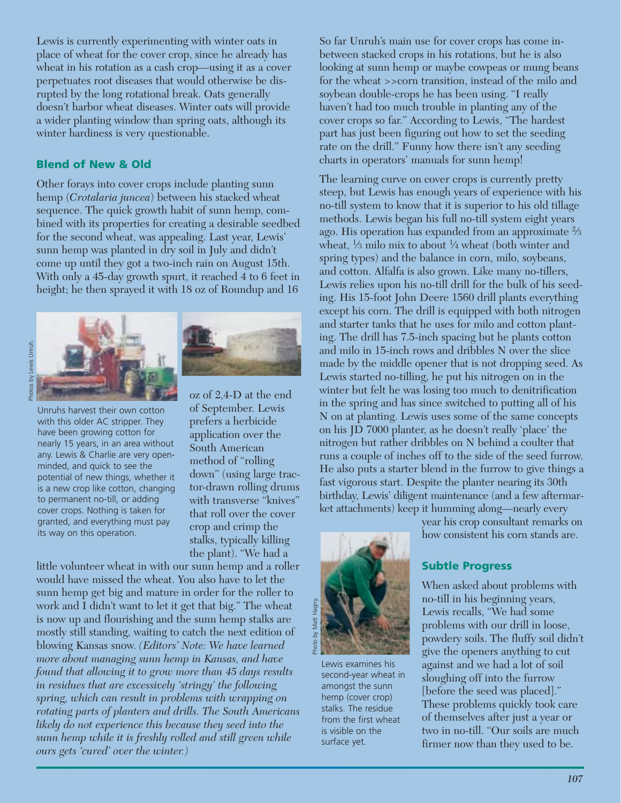Lewis is currently experimenting with winter oats in place of wheat for the cover crop, since he already has wheat in his rotation as a cash crop—using it as a cover perpetuates root diseases that would otherwise be disrupted by the long rotational break. Oats generally doesn't harbor wheat diseases. Winter oats will provide a wider planting window than spring oats, although its winter hardiness is very questionable.

#### **Blend of New & Old**

Other forays into cover crops include planting sunn hemp (*Crotalaria juncea*) between his stacked wheat sequence. The quick growth habit of sunn hemp, combined with its properties for creating a desirable seedbed for the second wheat, was appealing. Last year, Lewis' sunn hemp was planted in dry soil in July and didn't come up until they got a two-inch rain on August 15th. With only a 45-day growth spurt, it reached 4 to 6 feet in height; he then sprayed it with 18 oz of Roundup and 16

Unruhs harvest their own cotton with this older AC stripper. They have been growing cotton for nearly 15 years, in an area without any. Lewis & Charlie are very openminded, and quick to see the potential of new things, whether it is a new crop like cotton, changing to permanent no-till, or adding cover crops. Nothing is taken for granted, and everything must pay its way on this operation.



oz of 2,4-D at the end of September. Lewis prefers a herbicide application over the South American method of "rolling down" (using large tractor-drawn rolling drums with transverse "knives" that roll over the cover crop and crimp the stalks, typically killing the plant). "We had a

little volunteer wheat in with our sunn hemp and a roller would have missed the wheat. You also have to let the sunn hemp get big and mature in order for the roller to work and I didn't want to let it get that big." The wheat is now up and flourishing and the sunn hemp stalks are mostly still standing, waiting to catch the next edition of blowing Kansas snow. *(Editors' Note: We have learned more about managing sunn hemp in Kansas, and have found that allowing it to grow more than 45 days results in residues that are excessively 'stringy' the following spring, which can result in problems with wrapping on rotating parts of planters and drills. The South Americans likely do not experience this because they seed into the sunn hemp while it is freshly rolled and still green while ours gets 'cured' over the winter.)* 

So far Unruh's main use for cover crops has come inbetween stacked crops in his rotations, but he is also looking at sunn hemp or maybe cowpeas or mung beans for the wheat >>corn transition, instead of the milo and soybean double-crops he has been using. "I really haven't had too much trouble in planting any of the cover crops so far." According to Lewis, "The hardest part has just been figuring out how to set the seeding rate on the drill." Funny how there isn't any seeding charts in operators' manuals for sunn hemp!

The learning curve on cover crops is currently pretty steep, but Lewis has enough years of experience with his no-till system to know that it is superior to his old tillage methods. Lewis began his full no-till system eight years ago. His operation has expanded from an approximate 2⁄3 wheat,  $\frac{1}{3}$  milo mix to about  $\frac{1}{4}$  wheat (both winter and spring types) and the balance in corn, milo, soybeans, and cotton. Alfalfa is also grown. Like many no-tillers, Lewis relies upon his no-till drill for the bulk of his seeding. His 15-foot John Deere 1560 drill plants everything except his corn. The drill is equipped with both nitrogen and starter tanks that he uses for milo and cotton planting. The drill has 7.5-inch spacing but he plants cotton and milo in 15-inch rows and dribbles N over the slice made by the middle opener that is not dropping seed. As Lewis started no-tilling, he put his nitrogen on in the winter but felt he was losing too much to denitrification in the spring and has since switched to putting all of his N on at planting. Lewis uses some of the same concepts on his JD 7000 planter, as he doesn't really 'place' the nitrogen but rather dribbles on N behind a coulter that runs a couple of inches off to the side of the seed furrow. He also puts a starter blend in the furrow to give things a fast vigorous start. Despite the planter nearing its 30th birthday, Lewis' diligent maintenance (and a few aftermarket attachments) keep it humming along—nearly every



Lewis examines his second-year wheat in amongst the sunn hemp (cover crop) stalks. The residue from the first wheat is visible on the surface yet.

year his crop consultant remarks on how consistent his corn stands are.

#### **Subtle Progress**

When asked about problems with no-till in his beginning years, Lewis recalls, "We had some problems with our drill in loose, powdery soils. The fluffy soil didn't give the openers anything to cut against and we had a lot of soil sloughing off into the furrow [before the seed was placed]." These problems quickly took care of themselves after just a year or two in no-till. "Our soils are much firmer now than they used to be.